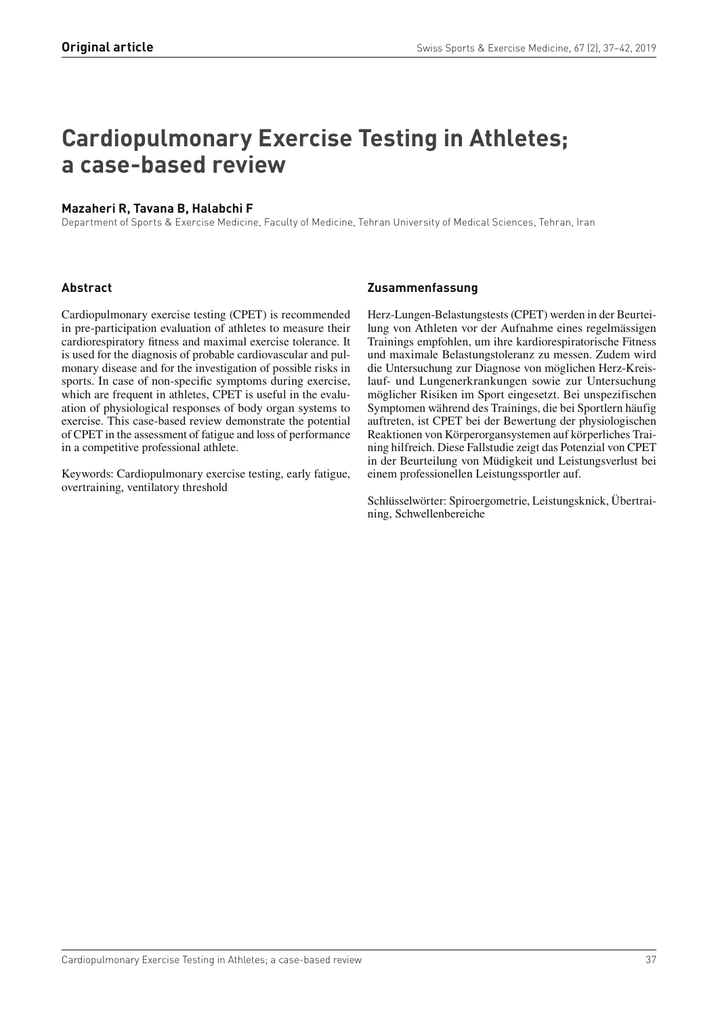# **Cardiopulmonary Exercise Testing in Athletes; a case-based review**

# **Mazaheri R, Tavana B, Halabchi F**

Department of Sports & Exercise Medicine, Faculty of Medicine, Tehran University of Medical Sciences, Tehran, Iran

## **Abstract**

Cardiopulmonary exercise testing (CPET) is recommended in pre-participation evaluation of athletes to measure their cardiorespiratory fitness and maximal exercise tolerance. It is used for the diagnosis of probable cardiovascular and pulmonary disease and for the investigation of possible risks in sports. In case of non-specific symptoms during exercise, which are frequent in athletes, CPET is useful in the evaluation of physiological responses of body organ systems to exercise. This case-based review demonstrate the potential of CPET in the assessment of fatigue and loss of performance in a competitive professional athlete.

Keywords: Cardiopulmonary exercise testing, early fatigue, overtraining, ventilatory threshold

## **Zusammenfassung**

Herz-Lungen-Belastungstests (CPET) werden in der Beurteilung von Athleten vor der Aufnahme eines regelmässigen Trainings empfohlen, um ihre kardiorespiratorische Fitness und maximale Belastungstoleranz zu messen. Zudem wird die Untersuchung zur Diagnose von möglichen Herz-Kreislauf- und Lungenerkrankungen sowie zur Untersuchung möglicher Risiken im Sport eingesetzt. Bei unspezifischen Symptomen während des Trainings, die bei Sportlern häufig auftreten, ist CPET bei der Bewertung der physiologischen Reaktionen von Körperorgansystemen auf körperliches Training hilfreich. Diese Fallstudie zeigt das Potenzial von CPET in der Beurteilung von Müdigkeit und Leistungsverlust bei einem professionellen Leistungssportler auf.

Schlüsselwörter: Spiroergometrie, Leistungsknick, Übertraining, Schwellenbereiche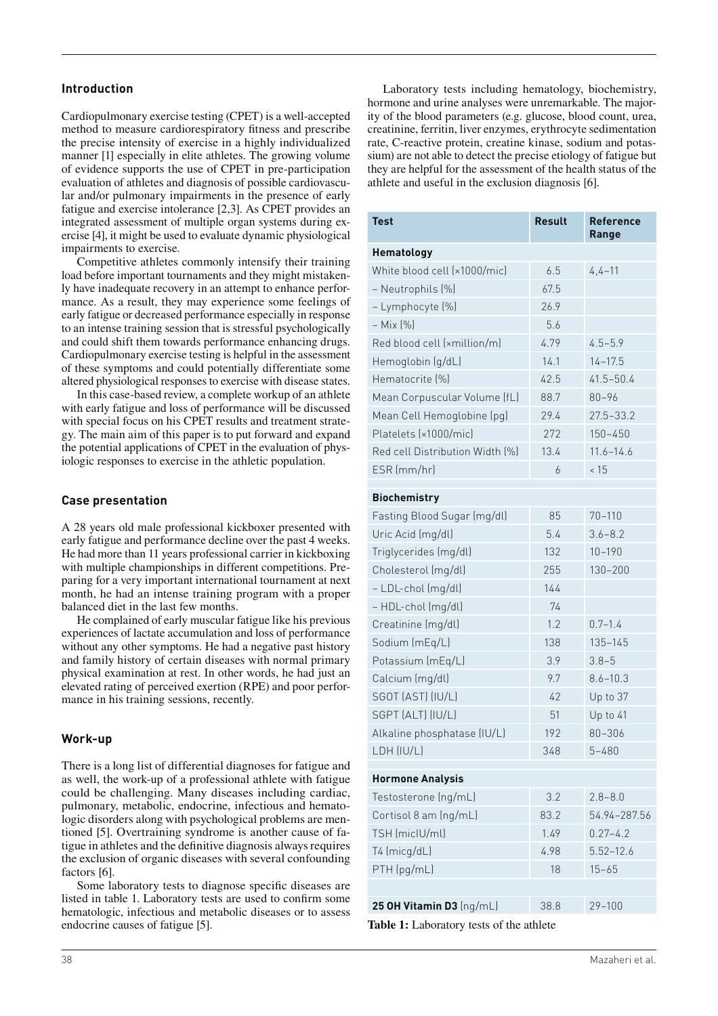## **Introduction**

Cardiopulmonary exercise testing (CPET) is a well-accepted method to measure cardiorespiratory fitness and prescribe the precise intensity of exercise in a highly individualized manner [1] especially in elite athletes. The growing volume of evidence supports the use of CPET in pre-participation evaluation of athletes and diagnosis of possible cardiovascular and/or pulmonary impairments in the presence of early fatigue and exercise intolerance [2,3]. As CPET provides an integrated assessment of multiple organ systems during exercise [4], it might be used to evaluate dynamic physiological impairments to exercise.

Competitive athletes commonly intensify their training load before important tournaments and they might mistakenly have inadequate recovery in an attempt to enhance performance. As a result, they may experience some feelings of early fatigue or decreased performance especially in response to an intense training session that is stressful psychologically and could shift them towards performance enhancing drugs. Cardiopulmonary exercise testing is helpful in the assessment of these symptoms and could potentially differentiate some altered physiological responses to exercise with disease states.

In this case-based review, a complete workup of an athlete with early fatigue and loss of performance will be discussed with special focus on his CPET results and treatment strategy. The main aim of this paper is to put forward and expand the potential applications of CPET in the evaluation of physiologic responses to exercise in the athletic population.

## **Case presentation**

A 28 years old male professional kickboxer presented with early fatigue and performance decline over the past 4 weeks. He had more than 11 years professional carrier in kickboxing with multiple championships in different competitions. Preparing for a very important international tournament at next month, he had an intense training program with a proper balanced diet in the last few months.

He complained of early muscular fatigue like his previous experiences of lactate accumulation and loss of performance without any other symptoms. He had a negative past history and family history of certain diseases with normal primary physical examination at rest. In other words, he had just an elevated rating of perceived exertion (RPE) and poor performance in his training sessions, recently.

### **Work-up**

There is a long list of differential diagnoses for fatigue and as well, the work-up of a professional athlete with fatigue could be challenging. Many diseases including cardiac, pulmonary, metabolic, endocrine, infectious and hematologic disorders along with psychological problems are mentioned [5]. Overtraining syndrome is another cause of fatigue in athletes and the definitive diagnosis always requires the exclusion of organic diseases with several confounding factors [6].

Some laboratory tests to diagnose specific diseases are listed in table 1. Laboratory tests are used to confirm some hematologic, infectious and metabolic diseases or to assess endocrine causes of fatigue [5].

Laboratory tests including hematology, biochemistry, hormone and urine analyses were unremarkable. The majority of the blood parameters (e.g. glucose, blood count, urea, creatinine, ferritin, liver enzymes, erythrocyte sedimentation rate, C-reactive protein, creatine kinase, sodium and potassium) are not able to detect the precise etiology of fatigue but they are helpful for the assessment of the health status of the athlete and useful in the exclusion diagnosis [6].

| <b>Test</b>                     | <b>Result</b> | <b>Reference</b><br>Range |  |  |
|---------------------------------|---------------|---------------------------|--|--|
| Hematology                      |               |                           |  |  |
| White blood cell (x1000/mic)    | 6.5           | $4, 4 - 11$               |  |  |
| - Neutrophils (%)               | 67.5          |                           |  |  |
| - Lymphocyte [%]                | 26.9          |                           |  |  |
| $-$ Mix $[%]$                   | 5.6           |                           |  |  |
| Red blood cell (xmillion/m)     | 4.79          | $4.5 - 5.9$               |  |  |
| Hemoglobin (g/dL)               | 14.1          | $14 - 17.5$               |  |  |
| Hematocrite (%)                 | 42.5          | $41.5 - 50.4$             |  |  |
| Mean Corpuscular Volume (fL)    | 88.7          | $80 - 96$                 |  |  |
| Mean Cell Hemoglobine (pg)      | 29.4          | $27.5 - 33.2$             |  |  |
| Platelets (x1000/mic)           | 272           | $150 - 450$               |  |  |
| Red cell Distribution Width [%] | 13.4          | $11.6 - 14.6$             |  |  |
| ESR (mm/hr)                     | 6             | < 15                      |  |  |
| <b>Biochemistry</b>             |               |                           |  |  |
| Fasting Blood Sugar (mg/dl)     | 85            | $70 - 110$                |  |  |
| Uric Acid (mg/dl)               | 5.4           | $3.6 - 8.2$               |  |  |
| Triglycerides (mg/dl)           | 132           | $10 - 190$                |  |  |
| Cholesterol (mg/dl)             | 255           | 130-200                   |  |  |
| - LDL-chol (mg/dl)              | 144           |                           |  |  |
| - HDL-chol (mg/dl)              | 74            |                           |  |  |
| Creatinine (mg/dl)              | 1.2           | $0.7 - 1.4$               |  |  |
| Sodium (mEq/L)                  | 138           | $135 - 145$               |  |  |
| Potassium (mEq/L)               | 3.9           | $3.8 - 5$                 |  |  |
| Calcium (mg/dl)                 | 9.7           | $8.6 - 10.3$              |  |  |
| SGOT (AST) (IU/L)               | 42            | Up to 37                  |  |  |
| SGPT (ALT) (IU/L)               | 51            | Up to 41                  |  |  |
| Alkaline phosphatase (IU/L)     | 192           | 80-306                    |  |  |
| LDH (IU/L)                      | 348           | $5 - 480$                 |  |  |
| <b>Hormone Analysis</b>         |               |                           |  |  |
| Testosterone (ng/mL)            | 3.2           | $2.8 - 8.0$               |  |  |
| Cortisol 8 am (ng/mL)           | 83.2          | 54.94-287.56              |  |  |
| TSH (miclU/ml)                  | 1.49          | $0.27 - 4.2$              |  |  |
| T4 (micg/dL)                    | 4.98          | $5.52 - 12.6$             |  |  |
| PTH (pg/mL)                     | 18            | $15 - 65$                 |  |  |
|                                 |               |                           |  |  |
| 25 OH Vitamin D3 (ng/mL)        | 38.8          | 29-100                    |  |  |

**Table 1:** Laboratory tests of the athlete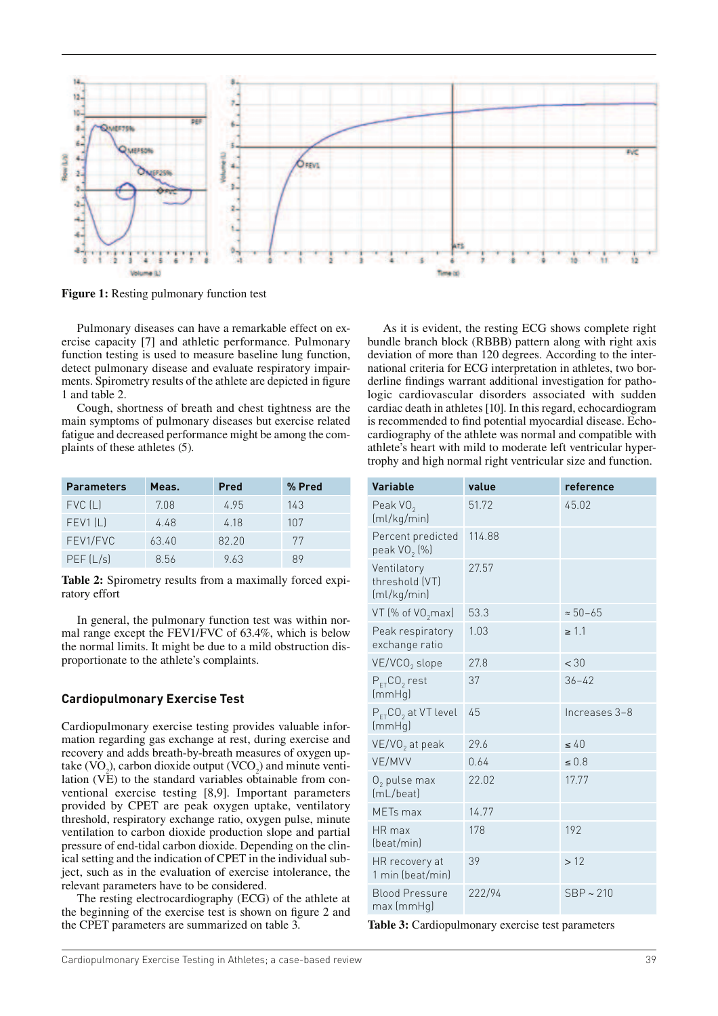

**Figure 1:** Resting pulmonary function test

Pulmonary diseases can have a remarkable effect on exercise capacity [7] and athletic performance. Pulmonary function testing is used to measure baseline lung function, detect pulmonary disease and evaluate respiratory impairments. Spirometry results of the athlete are depicted in figure 1 and table 2.

Cough, shortness of breath and chest tightness are the main symptoms of pulmonary diseases but exercise related fatigue and decreased performance might be among the complaints of these athletes (5).

| <b>Parameters</b> | Meas. | Pred  | % Pred |
|-------------------|-------|-------|--------|
| FVC [L]           | 708   | 495   | 143    |
| FEV1(L)           | 4.48  | 4 18  | 107    |
| FEV1/FVC          | 63.40 | 82.20 | 77     |
| PEF [L/s]         | 8.56  | 963   | 89     |

**Table 2:** Spirometry results from a maximally forced expiratory effort

In general, the pulmonary function test was within normal range except the FEV1/FVC of 63.4%, which is below the normal limits. It might be due to a mild obstruction disproportionate to the athlete's complaints.

#### **Cardiopulmonary Exercise Test**

Cardiopulmonary exercise testing provides valuable information regarding gas exchange at rest, during exercise and recovery and adds breath-by-breath measures of oxygen uptake (VO<sub>2</sub>), carbon dioxide output (VCO<sub>2</sub>) and minute ventilation (VE) to the standard variables obtainable from conventional exercise testing [8,9]. Important parameters provided by CPET are peak oxygen uptake, ventilatory threshold, respiratory exchange ratio, oxygen pulse, minute ventilation to carbon dioxide production slope and partial pressure of end-tidal carbon dioxide. Depending on the clinical setting and the indication of CPET in the individual subject, such as in the evaluation of exercise intolerance, the relevant parameters have to be considered.

The resting electrocardiography (ECG) of the athlete at the beginning of the exercise test is shown on figure 2 and the CPET parameters are summarized on table 3.

As it is evident, the resting ECG shows complete right bundle branch block (RBBB) pattern along with right axis deviation of more than 120 degrees. According to the international criteria for ECG interpretation in athletes, two borderline findings warrant additional investigation for pathologic cardiovascular disorders associated with sudden cardiac death in athletes [10]. In this regard, echocardiogram is recommended to find potential myocardial disease. Echocardiography of the athlete was normal and compatible with athlete's heart with mild to moderate left ventricular hypertrophy and high normal right ventricular size and function.

| <b>Variable</b>                                  | value  | reference         |
|--------------------------------------------------|--------|-------------------|
| Peak VO <sub>2</sub><br>(ml/kg/min)              | 51.72  | 45.02             |
| Percent predicted<br>peak VO <sub>2</sub> $[\%]$ | 114.88 |                   |
| Ventilatory<br>threshold (VT)<br>(ml/kg/min)     | 27.57  |                   |
| VT (% of VO <sub>2</sub> max)                    | 53.3   | $\approx 50 - 65$ |
| Peak respiratory<br>exchange ratio               | 1.03   | $\geq 1.1$        |
| VE/VCO <sub>2</sub> slope                        | 27.8   | < 30              |
| $P_{FT}CO2$ rest<br>(mmHq)                       | 37     | $36 - 42$         |
| $P_{FT}CO_2$ at VT level<br>(mmHq)               | 45     | Increases 3-8     |
| VE/VO <sub>2</sub> at peak                       | 29.6   | $\leq 40$         |
| VE/MVV                                           | 0.64   | $\leq 0.8$        |
| $0,$ pulse max<br>(mL/beat)                      | 22.02  | 17.77             |
| MET <sub>s</sub> max                             | 14.77  |                   |
| HR max<br>(beat/min)                             | 178    | 192               |
| HR recovery at<br>1 min (beat/min)               | 39     | >12               |
| <b>Blood Pressure</b><br>max (mmHq)              | 222/94 | $SBP \sim 210$    |

**Table 3:** Cardiopulmonary exercise test parameters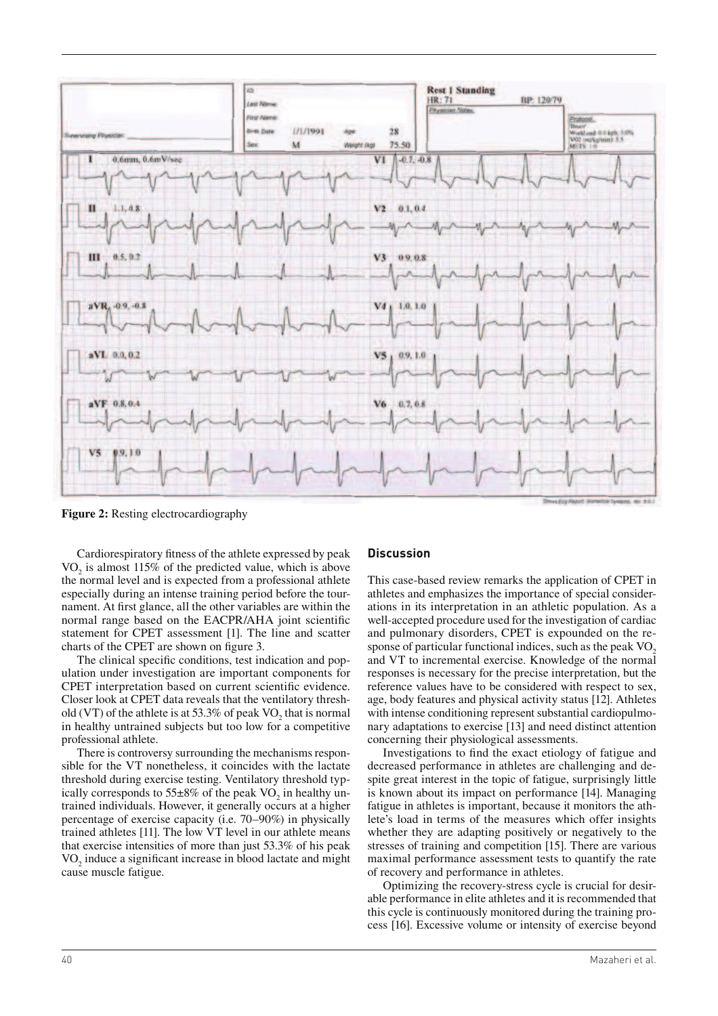

**Figure 2:** Resting electrocardiography

Cardiorespiratory fitness of the athlete expressed by peak  $VO<sub>2</sub>$  is almost 115% of the predicted value, which is above the normal level and is expected from a professional athlete especially during an intense training period before the tournament. At first glance, all the other variables are within the normal range based on the EACPR/AHA joint scientific statement for CPET assessment [1]. The line and scatter charts of the CPET are shown on figure 3.

The clinical specific conditions, test indication and population under investigation are important components for CPET interpretation based on current scientific evidence. Closer look at CPET data reveals that the ventilatory threshold (VT) of the athlete is at 53.3% of peak  $VO_2$  that is normal in healthy untrained subjects but too low for a competitive professional athlete.

There is controversy surrounding the mechanisms responsible for the VT nonetheless, it coincides with the lactate threshold during exercise testing. Ventilatory threshold typically corresponds to  $55\pm8\%$  of the peak VO<sub>2</sub> in healthy untrained individuals. However, it generally occurs at a higher percentage of exercise capacity (i.e. 70–90%) in physically trained athletes [11]. The low VT level in our athlete means that exercise intensities of more than just 53.3% of his peak  $VO<sub>2</sub>$  induce a significant increase in blood lactate and might cause muscle fatigue.

#### **Discussion**

This case-based review remarks the application of CPET in athletes and emphasizes the importance of special considerations in its interpretation in an athletic population. As a well-accepted procedure used for the investigation of cardiac and pulmonary disorders, CPET is expounded on the response of particular functional indices, such as the peak  $VO<sub>2</sub>$ and VT to incremental exercise. Knowledge of the normal responses is necessary for the precise interpretation, but the reference values have to be considered with respect to sex, age, body features and physical activity status [12]. Athletes with intense conditioning represent substantial cardiopulmonary adaptations to exercise [13] and need distinct attention concerning their physiological assessments.

Investigations to find the exact etiology of fatigue and decreased performance in athletes are challenging and despite great interest in the topic of fatigue, surprisingly little is known about its impact on performance [14]. Managing fatigue in athletes is important, because it monitors the athlete's load in terms of the measures which offer insights whether they are adapting positively or negatively to the stresses of training and competition [15]. There are various maximal performance assessment tests to quantify the rate of recovery and performance in athletes.

Optimizing the recovery-stress cycle is crucial for desirable performance in elite athletes and it is recommended that this cycle is continuously monitored during the training process [16]. Excessive volume or intensity of exercise beyond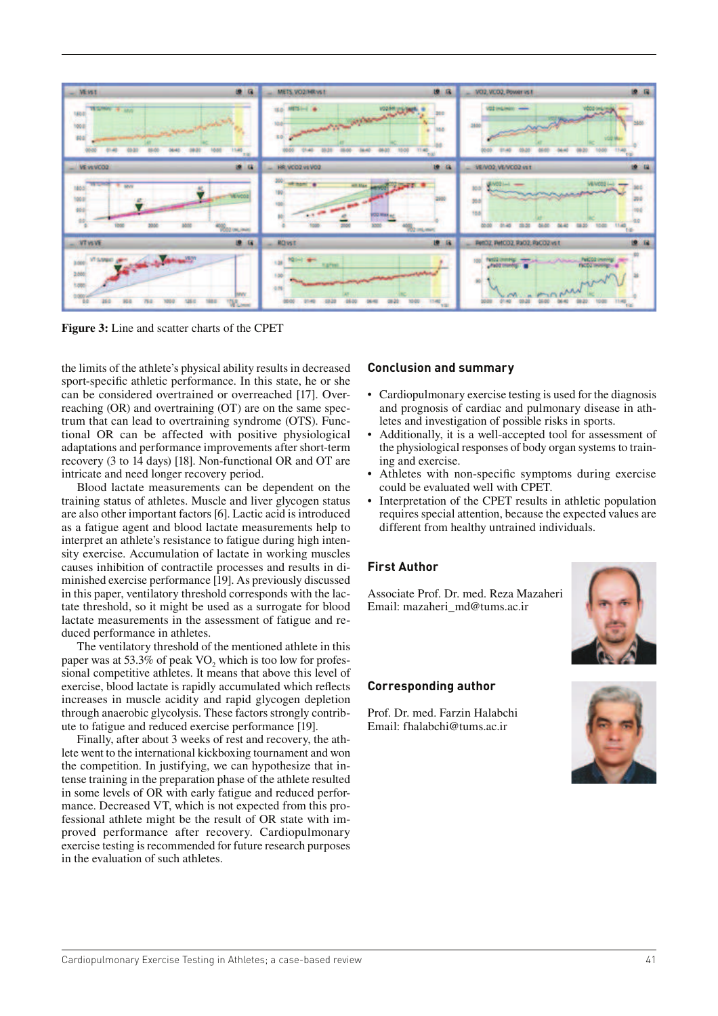

**Figure 3:** Line and scatter charts of the CPET

the limits of the athlete's physical ability results in decreased sport-specific athletic performance. In this state, he or she can be considered overtrained or overreached [17]. Overreaching (OR) and overtraining (OT) are on the same spectrum that can lead to overtraining syndrome (OTS). Functional OR can be affected with positive physiological adaptations and performance improvements after short-term recovery (3 to 14 days) [18]. Non-functional OR and OT are intricate and need longer recovery period.

Blood lactate measurements can be dependent on the training status of athletes. Muscle and liver glycogen status are also other important factors [6]. Lactic acid is introduced as a fatigue agent and blood lactate measurements help to interpret an athlete's resistance to fatigue during high intensity exercise. Accumulation of lactate in working muscles causes inhibition of contractile processes and results in diminished exercise performance [19]. As previously discussed in this paper, ventilatory threshold corresponds with the lactate threshold, so it might be used as a surrogate for blood lactate measurements in the assessment of fatigue and reduced performance in athletes.

The ventilatory threshold of the mentioned athlete in this paper was at 53.3% of peak  $VO_2$  which is too low for professional competitive athletes. It means that above this level of exercise, blood lactate is rapidly accumulated which reflects increases in muscle acidity and rapid glycogen depletion through anaerobic glycolysis. These factors strongly contribute to fatigue and reduced exercise performance [19].

Finally, after about 3 weeks of rest and recovery, the athlete went to the international kickboxing tournament and won the competition. In justifying, we can hypothesize that intense training in the preparation phase of the athlete resulted in some levels of OR with early fatigue and reduced performance. Decreased VT, which is not expected from this professional athlete might be the result of OR state with improved performance after recovery. Cardiopulmonary exercise testing is recommended for future research purposes in the evaluation of such athletes.

## **Conclusion and summary**

- Cardiopulmonary exercise testing is used for the diagnosis and prognosis of cardiac and pulmonary disease in athletes and investigation of possible risks in sports.
- Additionally, it is a well-accepted tool for assessment of the physiological responses of body organ systems to training and exercise.
- Athletes with non-specific symptoms during exercise could be evaluated well with CPET.
- Interpretation of the CPET results in athletic population requires special attention, because the expected values are different from healthy untrained individuals.

### **First Author**

Associate Prof. Dr. med. Reza Mazaheri Email: mazaheri\_md@tums.ac.ir



## **Corresponding author**

Prof. Dr. med. Farzin Halabchi Email: fhalabchi@tums.ac.ir